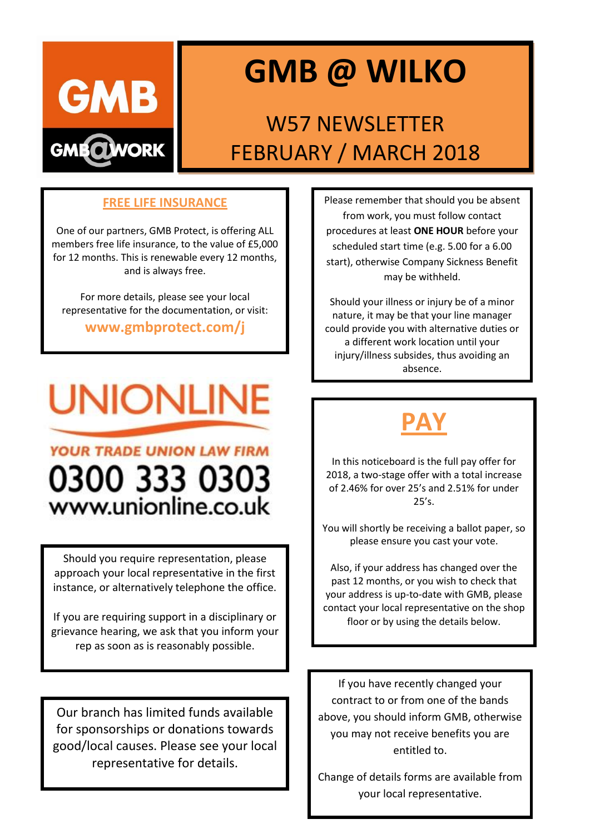

# **GMB @ WILKO**

### W57 NEWSLETTER FEBRUARY / MARCH 2018

#### **FREE LIFE INSURANCE**

One of our partners, GMB Protect, is offering ALL members free life insurance, to the value of £5,000 for 12 months. This is renewable every 12 months, and is always free.

For more details, please see your local representative for the documentation, or visit:

**www.gmbprotect.com/j**

# **UNIONLINE**

### **YOUR TRADE UNION LAW FIRM** 0300 333 0303 www.unionline.co.uk

Should you require representation, please approach your local representative in the first instance, or alternatively telephone the office.

If you are requiring support in a disciplinary or grievance hearing, we ask that you inform your rep as soon as is reasonably possible.

Our branch has limited funds available for sponsorships or donations towards good/local causes. Please see your local representative for details.

Please remember that should you be absent from work, you must follow contact procedures at least **ONE HOUR** before your scheduled start time (e.g. 5.00 for a 6.00 start), otherwise Company Sickness Benefit may be withheld.

Should your illness or injury be of a minor nature, it may be that your line manager could provide you with alternative duties or a different work location until your injury/illness subsides, thus avoiding an absence.

## **PAY**

In this noticeboard is the full pay offer for 2018, a two-stage offer with a total increase of 2.46% for over 25's and 2.51% for under  $25's$ .

You will shortly be receiving a ballot paper, so please ensure you cast your vote.

Also, if your address has changed over the past 12 months, or you wish to check that your address is up-to-date with GMB, please contact your local representative on the shop floor or by using the details below.

If you have recently changed your contract to or from one of the bands above, you should inform GMB, otherwise you may not receive benefits you are entitled to.

Change of details forms are available from your local representative.